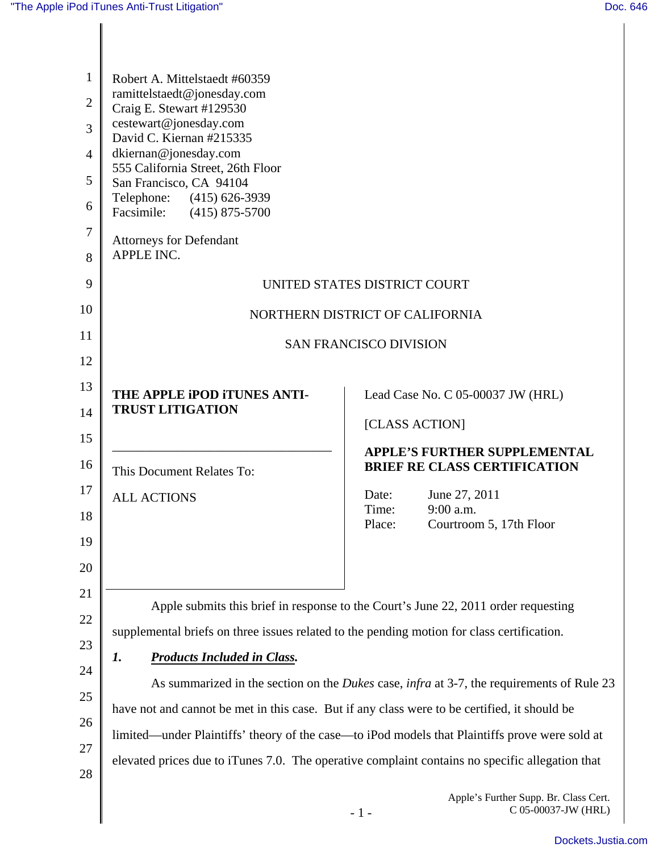| $\mathbf{1}$<br>$\overline{2}$ | Robert A. Mittelstaedt #60359<br>ramittelstaedt@jonesday.com                                                                                                                                                                                      |                                                                                    |  |
|--------------------------------|---------------------------------------------------------------------------------------------------------------------------------------------------------------------------------------------------------------------------------------------------|------------------------------------------------------------------------------------|--|
|                                | Craig E. Stewart #129530<br>cestewart@jonesday.com                                                                                                                                                                                                |                                                                                    |  |
| 3                              | David C. Kiernan #215335                                                                                                                                                                                                                          |                                                                                    |  |
| $\overline{4}$                 | dkiernan@jonesday.com<br>555 California Street, 26th Floor                                                                                                                                                                                        |                                                                                    |  |
| 5                              | San Francisco, CA 94104<br>Telephone: (415) 626-3939                                                                                                                                                                                              |                                                                                    |  |
| 6                              | Facsimile: (415) 875-5700                                                                                                                                                                                                                         |                                                                                    |  |
| 7<br>8                         | <b>Attorneys for Defendant</b><br>APPLE INC.                                                                                                                                                                                                      |                                                                                    |  |
| 9                              | UNITED STATES DISTRICT COURT                                                                                                                                                                                                                      |                                                                                    |  |
| 10                             | NORTHERN DISTRICT OF CALIFORNIA                                                                                                                                                                                                                   |                                                                                    |  |
| 11                             | <b>SAN FRANCISCO DIVISION</b>                                                                                                                                                                                                                     |                                                                                    |  |
| 12                             |                                                                                                                                                                                                                                                   |                                                                                    |  |
| 13                             | THE APPLE IPOD ITUNES ANTI-                                                                                                                                                                                                                       | Lead Case No. C 05-00037 JW (HRL)                                                  |  |
| 14                             | <b>TRUST LITIGATION</b>                                                                                                                                                                                                                           | [CLASS ACTION]                                                                     |  |
| 15                             |                                                                                                                                                                                                                                                   | <b>APPLE'S FURTHER SUPPLEMENTAL</b>                                                |  |
| 16                             | This Document Relates To:                                                                                                                                                                                                                         | <b>BRIEF RE CLASS CERTIFICATION</b>                                                |  |
| 17                             | <b>ALL ACTIONS</b>                                                                                                                                                                                                                                | June 27, 2011<br>Date:                                                             |  |
| 18                             |                                                                                                                                                                                                                                                   | 9:00 a.m.<br>Time:<br>Place:<br>Courtroom 5, 17th Floor                            |  |
| 19                             |                                                                                                                                                                                                                                                   |                                                                                    |  |
| 20                             |                                                                                                                                                                                                                                                   |                                                                                    |  |
| 21                             |                                                                                                                                                                                                                                                   | Apple submits this brief in response to the Court's June 22, 2011 order requesting |  |
| 22                             | supplemental briefs on three issues related to the pending motion for class certification.<br><b>Products Included in Class.</b><br>1.<br>As summarized in the section on the <i>Dukes</i> case, <i>infra</i> at 3-7, the requirements of Rule 23 |                                                                                    |  |
| 23                             |                                                                                                                                                                                                                                                   |                                                                                    |  |
| 24                             |                                                                                                                                                                                                                                                   |                                                                                    |  |
| 25                             | have not and cannot be met in this case. But if any class were to be certified, it should be                                                                                                                                                      |                                                                                    |  |
| 26                             | limited—under Plaintiffs' theory of the case—to iPod models that Plaintiffs prove were sold at                                                                                                                                                    |                                                                                    |  |
| 27<br>28                       | elevated prices due to iTunes 7.0. The operative complaint contains no specific allegation that                                                                                                                                                   |                                                                                    |  |
|                                |                                                                                                                                                                                                                                                   | Apple's Further Supp. Br. Class Cert.<br>C 05-00037-JW (HRL)<br>$-1-$              |  |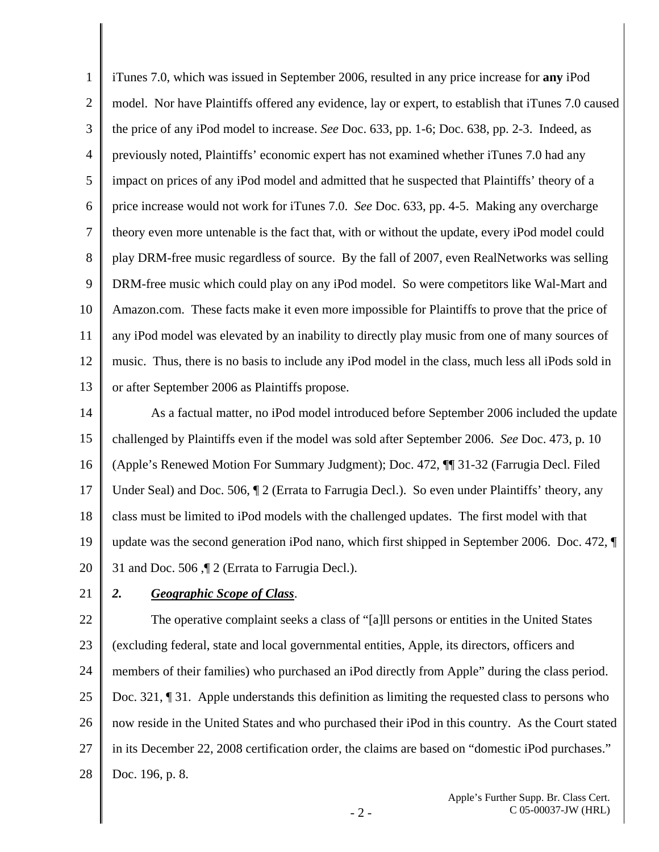1 2 3 4 5 6 7 8 9 10 11 12 13 iTunes 7.0, which was issued in September 2006, resulted in any price increase for **any** iPod model. Nor have Plaintiffs offered any evidence, lay or expert, to establish that iTunes 7.0 caused the price of any iPod model to increase. *See* Doc. 633, pp. 1-6; Doc. 638, pp. 2-3. Indeed, as previously noted, Plaintiffs' economic expert has not examined whether iTunes 7.0 had any impact on prices of any iPod model and admitted that he suspected that Plaintiffs' theory of a price increase would not work for iTunes 7.0. *See* Doc. 633, pp. 4-5. Making any overcharge theory even more untenable is the fact that, with or without the update, every iPod model could play DRM-free music regardless of source. By the fall of 2007, even RealNetworks was selling DRM-free music which could play on any iPod model. So were competitors like Wal-Mart and Amazon.com. These facts make it even more impossible for Plaintiffs to prove that the price of any iPod model was elevated by an inability to directly play music from one of many sources of music. Thus, there is no basis to include any iPod model in the class, much less all iPods sold in or after September 2006 as Plaintiffs propose.

14 15 16 17 18 19 20 As a factual matter, no iPod model introduced before September 2006 included the update challenged by Plaintiffs even if the model was sold after September 2006. *See* Doc. 473, p. 10 (Apple's Renewed Motion For Summary Judgment); Doc. 472, ¶¶ 31-32 (Farrugia Decl. Filed Under Seal) and Doc. 506,  $\parallel$  2 (Errata to Farrugia Decl.). So even under Plaintiffs' theory, any class must be limited to iPod models with the challenged updates. The first model with that update was the second generation iPod nano, which first shipped in September 2006. Doc. 472, ¶ 31 and Doc. 506 ,¶ 2 (Errata to Farrugia Decl.).

21

## *2. Geographic Scope of Class*.

22 23 24 25 26 27 28 The operative complaint seeks a class of "[a]ll persons or entities in the United States (excluding federal, state and local governmental entities, Apple, its directors, officers and members of their families) who purchased an iPod directly from Apple" during the class period. Doc. 321, ¶ 31. Apple understands this definition as limiting the requested class to persons who now reside in the United States and who purchased their iPod in this country. As the Court stated in its December 22, 2008 certification order, the claims are based on "domestic iPod purchases." Doc. 196, p. 8.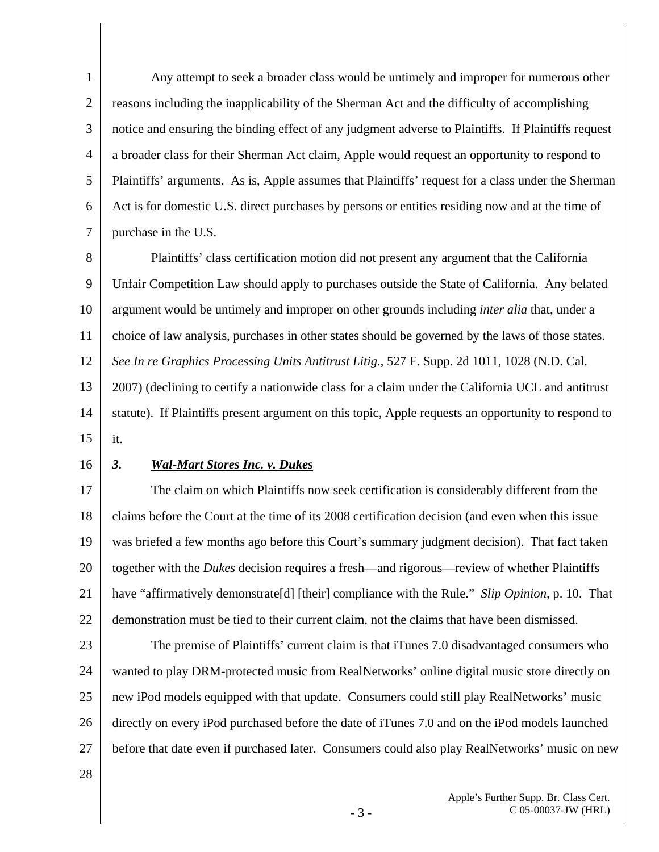1 2 3 4 5 6 7 Any attempt to seek a broader class would be untimely and improper for numerous other reasons including the inapplicability of the Sherman Act and the difficulty of accomplishing notice and ensuring the binding effect of any judgment adverse to Plaintiffs. If Plaintiffs request a broader class for their Sherman Act claim, Apple would request an opportunity to respond to Plaintiffs' arguments. As is, Apple assumes that Plaintiffs' request for a class under the Sherman Act is for domestic U.S. direct purchases by persons or entities residing now and at the time of purchase in the U.S.

8 9 10 11 12 13 14 15 Plaintiffs' class certification motion did not present any argument that the California Unfair Competition Law should apply to purchases outside the State of California. Any belated argument would be untimely and improper on other grounds including *inter alia* that, under a choice of law analysis, purchases in other states should be governed by the laws of those states. *See In re Graphics Processing Units Antitrust Litig.*, 527 F. Supp. 2d 1011, 1028 (N.D. Cal. 2007) (declining to certify a nationwide class for a claim under the California UCL and antitrust statute). If Plaintiffs present argument on this topic, Apple requests an opportunity to respond to it.

16

## *3. Wal-Mart Stores Inc. v. Dukes*

17 18 19 20 21 22 The claim on which Plaintiffs now seek certification is considerably different from the claims before the Court at the time of its 2008 certification decision (and even when this issue was briefed a few months ago before this Court's summary judgment decision). That fact taken together with the *Dukes* decision requires a fresh—and rigorous—review of whether Plaintiffs have "affirmatively demonstrate[d] [their] compliance with the Rule." *Slip Opinion,* p. 10. That demonstration must be tied to their current claim, not the claims that have been dismissed.

23 24 25 26 27 The premise of Plaintiffs' current claim is that iTunes 7.0 disadvantaged consumers who wanted to play DRM-protected music from RealNetworks' online digital music store directly on new iPod models equipped with that update. Consumers could still play RealNetworks' music directly on every iPod purchased before the date of iTunes 7.0 and on the iPod models launched before that date even if purchased later. Consumers could also play RealNetworks' music on new

28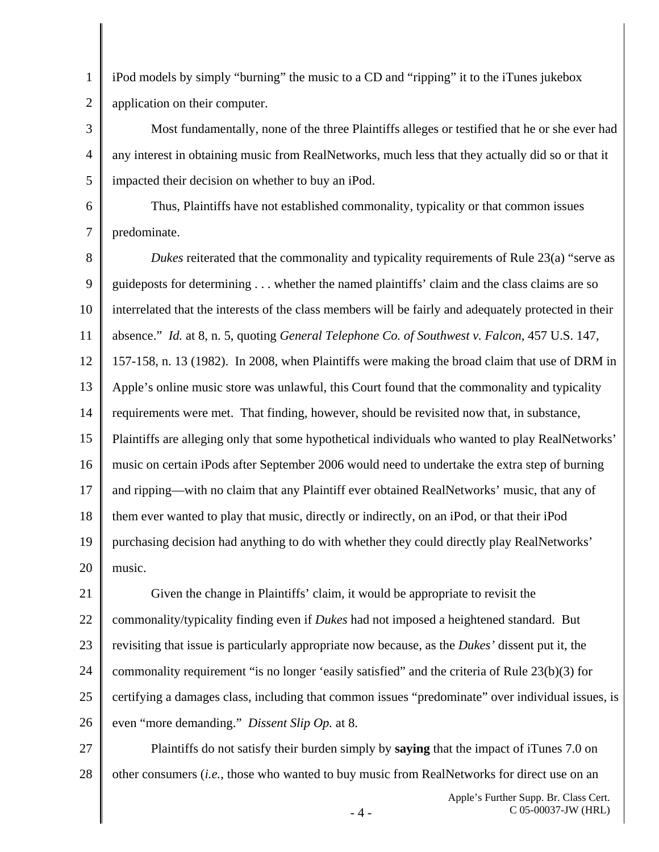1 2 iPod models by simply "burning" the music to a CD and "ripping" it to the iTunes jukebox application on their computer.

3 4 5 Most fundamentally, none of the three Plaintiffs alleges or testified that he or she ever had any interest in obtaining music from RealNetworks, much less that they actually did so or that it impacted their decision on whether to buy an iPod.

6 7 Thus, Plaintiffs have not established commonality, typicality or that common issues predominate.

8 9 10 11 12 13 14 15 16 17 18 19 20 *Dukes* reiterated that the commonality and typicality requirements of Rule 23(a) "serve as guideposts for determining . . . whether the named plaintiffs' claim and the class claims are so interrelated that the interests of the class members will be fairly and adequately protected in their absence." *Id.* at 8, n. 5, quoting *General Telephone Co. of Southwest v. Falcon*, 457 U.S. 147, 157-158, n. 13 (1982). In 2008, when Plaintiffs were making the broad claim that use of DRM in Apple's online music store was unlawful, this Court found that the commonality and typicality requirements were met. That finding, however, should be revisited now that, in substance, Plaintiffs are alleging only that some hypothetical individuals who wanted to play RealNetworks' music on certain iPods after September 2006 would need to undertake the extra step of burning and ripping—with no claim that any Plaintiff ever obtained RealNetworks' music, that any of them ever wanted to play that music, directly or indirectly, on an iPod, or that their iPod purchasing decision had anything to do with whether they could directly play RealNetworks' music.

21 22 23 24 25 26 Given the change in Plaintiffs' claim, it would be appropriate to revisit the commonality/typicality finding even if *Dukes* had not imposed a heightened standard. But revisiting that issue is particularly appropriate now because, as the *Dukes'* dissent put it, the commonality requirement "is no longer 'easily satisfied" and the criteria of Rule 23(b)(3) for certifying a damages class, including that common issues "predominate" over individual issues, is even "more demanding." *Dissent Slip Op.* at 8.

27 28 Plaintiffs do not satisfy their burden simply by **saying** that the impact of iTunes 7.0 on other consumers (*i.e.*, those who wanted to buy music from RealNetworks for direct use on an

- 4 -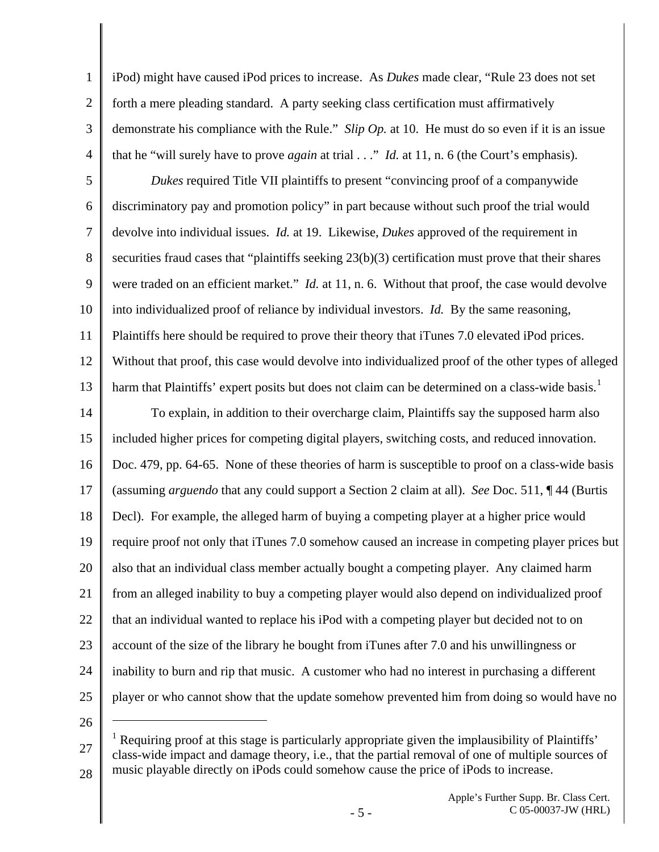iPod) might have caused iPod prices to increase. As *Dukes* made clear, "Rule 23 does not set forth a mere pleading standard. A party seeking class certification must affirmatively demonstrate his compliance with the Rule." *Slip Op.* at 10. He must do so even if it is an issue that he "will surely have to prove *again* at trial . . ." *Id.* at 11, n. 6 (the Court's emphasis).

5 6 7 8 9 10 11 12 13 *Dukes* required Title VII plaintiffs to present "convincing proof of a companywide discriminatory pay and promotion policy" in part because without such proof the trial would devolve into individual issues. *Id.* at 19. Likewise, *Dukes* approved of the requirement in securities fraud cases that "plaintiffs seeking 23(b)(3) certification must prove that their shares were traded on an efficient market." *Id.* at 11, n. 6. Without that proof, the case would devolve into individualized proof of reliance by individual investors. *Id.* By the same reasoning, Plaintiffs here should be required to prove their theory that iTunes 7.0 elevated iPod prices. Without that proof, this case would devolve into individualized proof of the other types of alleged harm that Plaintiffs' expert posits but does not claim can be determined on a class-wide basis.<sup>[1](#page-4-0)</sup>

14 15 16 17 18 19 20 21 22 23 24 25 To explain, in addition to their overcharge claim, Plaintiffs say the supposed harm also included higher prices for competing digital players, switching costs, and reduced innovation. Doc. 479, pp. 64-65. None of these theories of harm is susceptible to proof on a class-wide basis (assuming *arguendo* that any could support a Section 2 claim at all). *See* Doc. 511, ¶ 44 (Burtis Decl). For example, the alleged harm of buying a competing player at a higher price would require proof not only that iTunes 7.0 somehow caused an increase in competing player prices but also that an individual class member actually bought a competing player. Any claimed harm from an alleged inability to buy a competing player would also depend on individualized proof that an individual wanted to replace his iPod with a competing player but decided not to on account of the size of the library he bought from iTunes after 7.0 and his unwillingness or inability to burn and rip that music. A customer who had no interest in purchasing a different player or who cannot show that the update somehow prevented him from doing so would have no

26

 $\overline{a}$ 

1

2

3

4

<span id="page-4-0"></span><sup>27</sup>  28 <sup>1</sup> Requiring proof at this stage is particularly appropriate given the implausibility of Plaintiffs' class-wide impact and damage theory, i.e., that the partial removal of one of multiple sources of music playable directly on iPods could somehow cause the price of iPods to increase.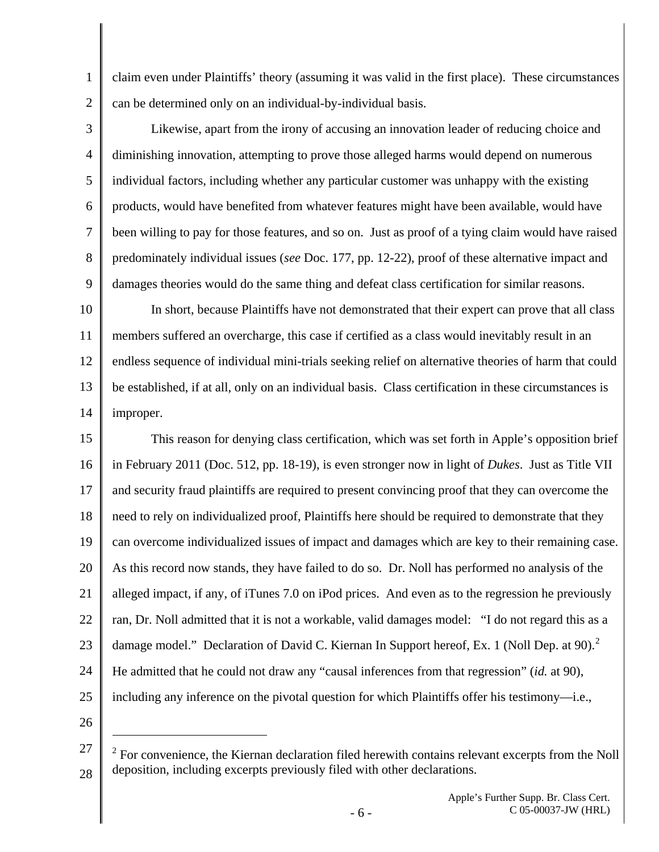1 2 claim even under Plaintiffs' theory (assuming it was valid in the first place). These circumstances can be determined only on an individual-by-individual basis.

3 4 5 6 7 8 9 Likewise, apart from the irony of accusing an innovation leader of reducing choice and diminishing innovation, attempting to prove those alleged harms would depend on numerous individual factors, including whether any particular customer was unhappy with the existing products, would have benefited from whatever features might have been available, would have been willing to pay for those features, and so on. Just as proof of a tying claim would have raised predominately individual issues (*see* Doc. 177, pp. 12-22), proof of these alternative impact and damages theories would do the same thing and defeat class certification for similar reasons.

10 11 12 13 14 In short, because Plaintiffs have not demonstrated that their expert can prove that all class members suffered an overcharge, this case if certified as a class would inevitably result in an endless sequence of individual mini-trials seeking relief on alternative theories of harm that could be established, if at all, only on an individual basis. Class certification in these circumstances is improper.

15 16 17 18 19 20 21 22 23 24 25 This reason for denying class certification, which was set forth in Apple's opposition brief in February 2011 (Doc. 512, pp. 18-19), is even stronger now in light of *Dukes*. Just as Title VII and security fraud plaintiffs are required to present convincing proof that they can overcome the need to rely on individualized proof, Plaintiffs here should be required to demonstrate that they can overcome individualized issues of impact and damages which are key to their remaining case. As this record now stands, they have failed to do so. Dr. Noll has performed no analysis of the alleged impact, if any, of iTunes 7.0 on iPod prices. And even as to the regression he previously ran, Dr. Noll admitted that it is not a workable, valid damages model: "I do not regard this as a damage model." Declaration of David C. Kiernan In Support hereof, Ex. 1 (Noll Dep. at 90).<sup>[2](#page-5-0)</sup> He admitted that he could not draw any "causal inferences from that regression" (*id.* at 90), including any inference on the pivotal question for which Plaintiffs offer his testimony—i.e.,

26

 $\overline{a}$ 

<span id="page-5-0"></span><sup>27</sup>  28  $2^2$  For convenience, the Kiernan declaration filed herewith contains relevant excerpts from the Noll deposition, including excerpts previously filed with other declarations.